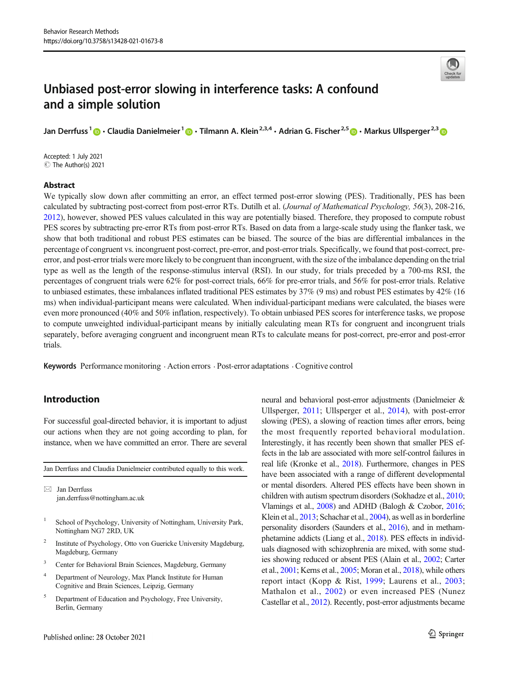

# Unbiased post-error slowing in interference tasks: A confound and a simple solution

Jan Derrfuss<sup>1</sup> @ · Claudia Danielmeier<sup>1</sup> @ · Tilmann A. Klein<sup>2,3,4</sup> · Adrian G. Fischer<sup>2,5</sup> @ · Markus Ullsperger<sup>2,3</sup> @

Accepted: 1 July 2021 C The Author(s) 2021

## Abstract

We typically slow down after committing an error, an effect termed post-error slowing (PES). Traditionally, PES has been calculated by subtracting post-correct from post-error RTs. Dutilh et al. (Journal of Mathematical Psychology, 56(3), 208-216, [2012\)](#page-10-0), however, showed PES values calculated in this way are potentially biased. Therefore, they proposed to compute robust PES scores by subtracting pre-error RTs from post-error RTs. Based on data from a large-scale study using the flanker task, we show that both traditional and robust PES estimates can be biased. The source of the bias are differential imbalances in the percentage of congruent vs. incongruent post-correct, pre-error, and post-error trials. Specifically, we found that post-correct, preerror, and post-error trials were more likely to be congruent than incongruent, with the size of the imbalance depending on the trial type as well as the length of the response-stimulus interval (RSI). In our study, for trials preceded by a 700-ms RSI, the percentages of congruent trials were 62% for post-correct trials, 66% for pre-error trials, and 56% for post-error trials. Relative to unbiased estimates, these imbalances inflated traditional PES estimates by 37% (9 ms) and robust PES estimates by 42% (16 ms) when individual-participant means were calculated. When individual-participant medians were calculated, the biases were even more pronounced (40% and 50% inflation, respectively). To obtain unbiased PES scores for interference tasks, we propose to compute unweighted individual-participant means by initially calculating mean RTs for congruent and incongruent trials separately, before averaging congruent and incongruent mean RTs to calculate means for post-correct, pre-error and post-error trials.

Keywords Performance monitoring . Action errors . Post-error adaptations . Cognitive control

# Introduction

For successful goal-directed behavior, it is important to adjust our actions when they are not going according to plan, for instance, when we have committed an error. There are several

Jan Derrfuss and Claudia Danielmeier contributed equally to this work.

 $\boxtimes$  Jan Derrfuss [jan.derrfuss@nottingham.ac.uk](mailto:jan.derrfuss@nottingham.ac.uk)

- <sup>1</sup> School of Psychology, University of Nottingham, University Park, Nottingham NG7 2RD, UK
- <sup>2</sup> Institute of Psychology, Otto von Guericke University Magdeburg, Magdeburg, Germany
- <sup>3</sup> Center for Behavioral Brain Sciences, Magdeburg, Germany
- <sup>4</sup> Department of Neurology, Max Planck Institute for Human Cognitive and Brain Sciences, Leipzig, Germany
- <sup>5</sup> Department of Education and Psychology, Free University, Berlin, Germany

neural and behavioral post-error adjustments (Danielmeier & Ullsperger, [2011](#page-10-0); Ullsperger et al., [2014](#page-11-0)), with post-error slowing (PES), a slowing of reaction times after errors, being the most frequently reported behavioral modulation. Interestingly, it has recently been shown that smaller PES effects in the lab are associated with more self-control failures in real life (Kronke et al., [2018\)](#page-10-0). Furthermore, changes in PES have been associated with a range of different developmental or mental disorders. Altered PES effects have been shown in children with autism spectrum disorders (Sokhadze et al., [2010;](#page-11-0) Vlamings et al., [2008\)](#page-11-0) and ADHD (Balogh & Czobor, [2016;](#page-10-0) Klein et al., [2013;](#page-10-0) Schachar et al., [2004\)](#page-11-0), as well as in borderline personality disorders (Saunders et al., [2016\)](#page-11-0), and in methamphetamine addicts (Liang et al., [2018\)](#page-11-0). PES effects in individuals diagnosed with schizophrenia are mixed, with some studies showing reduced or absent PES (Alain et al., [2002](#page-10-0); Carter et al., [2001](#page-10-0); Kerns et al., [2005;](#page-10-0) Moran et al., [2018\)](#page-11-0), while others report intact (Kopp & Rist, [1999](#page-10-0); Laurens et al., [2003;](#page-10-0) Mathalon et al., [2002\)](#page-11-0) or even increased PES (Nunez Castellar et al., [2012](#page-11-0)). Recently, post-error adjustments became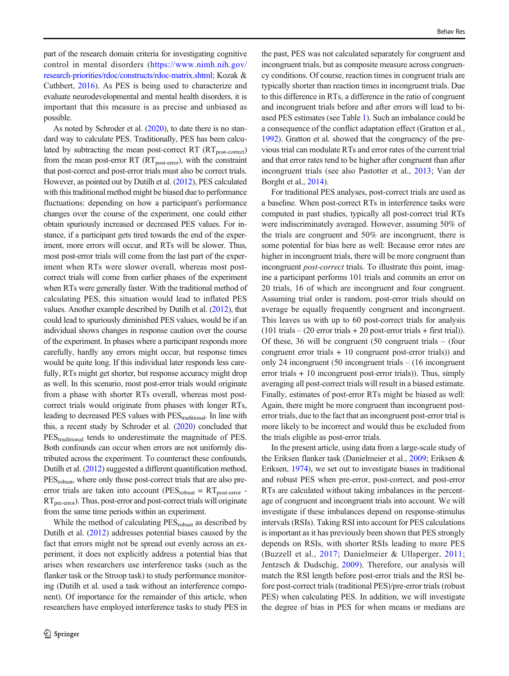part of the research domain criteria for investigating cognitive control in mental disorders ([https://www.nimh.nih.gov/](https://www.nimh.nih.gov/research-priorities/rdoc/constructs/rdoc-matrix.shtml) [research-priorities/rdoc/constructs/rdoc-matrix.shtml;](https://www.nimh.nih.gov/research-priorities/rdoc/constructs/rdoc-matrix.shtml) Kozak & Cuthbert, [2016](#page-10-0)). As PES is being used to characterize and evaluate neurodevelopmental and mental health disorders, it is important that this measure is as precise and unbiased as possible.

As noted by Schroder et al. ([2020\)](#page-11-0), to date there is no standard way to calculate PES. Traditionally, PES has been calculated by subtracting the mean post-correct RT  $(RT_{post-correct})$ from the mean post-error RT  $(RT_{post-error})$ , with the constraint that post-correct and post-error trials must also be correct trials. However, as pointed out by Dutilh et al. ([2012\)](#page-10-0), PES calculated with this traditional method might be biased due to performance fluctuations: depending on how a participant's performance changes over the course of the experiment, one could either obtain spuriously increased or decreased PES values. For instance, if a participant gets tired towards the end of the experiment, more errors will occur, and RTs will be slower. Thus, most post-error trials will come from the last part of the experiment when RTs were slower overall, whereas most postcorrect trials will come from earlier phases of the experiment when RTs were generally faster. With the traditional method of calculating PES, this situation would lead to inflated PES values. Another example described by Dutilh et al. [\(2012](#page-10-0)), that could lead to spuriously diminished PES values, would be if an individual shows changes in response caution over the course of the experiment. In phases where a participant responds more carefully, hardly any errors might occur, but response times would be quite long. If this individual later responds less carefully, RTs might get shorter, but response accuracy might drop as well. In this scenario, most post-error trials would originate from a phase with shorter RTs overall, whereas most postcorrect trials would originate from phases with longer RTs, leading to decreased PES values with PES<sub>traditional</sub>. In line with this, a recent study by Schroder et al. [\(2020\)](#page-11-0) concluded that PES<sub>traditional</sub> tends to underestimate the magnitude of PES. Both confounds can occur when errors are not uniformly distributed across the experiment. To counteract these confounds, Dutilh et al. [\(2012](#page-10-0)) suggested a different quantification method, PES<sub>robust</sub>, where only those post-correct trials that are also preerror trials are taken into account ( $\text{PES}_{\text{robust}} = \text{RT}_{\text{post-error}}$ - $RT<sub>pre-error</sub>$ ). Thus, post-error and post-correct trials will originate from the same time periods within an experiment.

While the method of calculating PES<sub>robust</sub> as described by Dutilh et al. ([2012](#page-10-0)) addresses potential biases caused by the fact that errors might not be spread out evenly across an experiment, it does not explicitly address a potential bias that arises when researchers use interference tasks (such as the flanker task or the Stroop task) to study performance monitoring (Dutilh et al. used a task without an interference component). Of importance for the remainder of this article, when researchers have employed interference tasks to study PES in

the past, PES was not calculated separately for congruent and incongruent trials, but as composite measure across congruency conditions. Of course, reaction times in congruent trials are typically shorter than reaction times in incongruent trials. Due to this difference in RTs, a difference in the ratio of congruent and incongruent trials before and after errors will lead to biased PES estimates (see Table [1\)](#page-2-0). Such an imbalance could be a consequence of the conflict adaptation effect (Gratton et al., [1992\)](#page-10-0). Gratton et al. showed that the congruency of the previous trial can modulate RTs and error rates of the current trial and that error rates tend to be higher after congruent than after incongruent trials (see also Pastotter et al., [2013;](#page-11-0) Van der Borght et al., [2014](#page-11-0)).

For traditional PES analyses, post-correct trials are used as a baseline. When post-correct RTs in interference tasks were computed in past studies, typically all post-correct trial RTs were indiscriminately averaged. However, assuming 50% of the trials are congruent and 50% are incongruent, there is some potential for bias here as well: Because error rates are higher in incongruent trials, there will be more congruent than incongruent *post-correct* trials. To illustrate this point, imagine a participant performs 101 trials and commits an error on 20 trials, 16 of which are incongruent and four congruent. Assuming trial order is random, post-error trials should on average be equally frequently congruent and incongruent. This leaves us with up to 60 post-correct trials for analysis  $(101 \text{ trials} - (20 \text{ error trials} + 20 \text{ post-error trials} + \text{first trial})).$ Of these, 36 will be congruent (50 congruent trials – (four congruent error trials + 10 congruent post-error trials)) and only 24 incongruent (50 incongruent trials – (16 incongruent error trials  $+10$  incongruent post-error trials)). Thus, simply averaging all post-correct trials will result in a biased estimate. Finally, estimates of post-error RTs might be biased as well: Again, there might be more congruent than incongruent posterror trials, due to the fact that an incongruent post-error trial is more likely to be incorrect and would thus be excluded from the trials eligible as post-error trials.

In the present article, using data from a large-scale study of the Eriksen flanker task (Danielmeier et al., [2009;](#page-10-0) Eriksen & Eriksen, [1974\)](#page-10-0), we set out to investigate biases in traditional and robust PES when pre-error, post-correct, and post-error RTs are calculated without taking imbalances in the percentage of congruent and incongruent trials into account. We will investigate if these imbalances depend on response-stimulus intervals (RSIs). Taking RSI into account for PES calculations is important as it has previously been shown that PES strongly depends on RSIs, with shorter RSIs leading to more PES (Buzzell et al., [2017](#page-10-0); Danielmeier & Ullsperger, [2011;](#page-10-0) Jentzsch & Dudschig, [2009](#page-10-0)). Therefore, our analysis will match the RSI length before post-error trials and the RSI before post-correct trials (traditional PES)/pre-error trials (robust PES) when calculating PES. In addition, we will investigate the degree of bias in PES for when means or medians are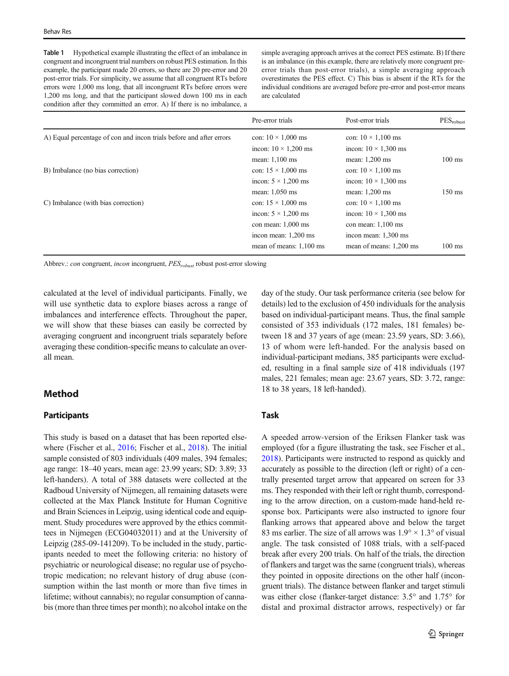<span id="page-2-0"></span>Table 1 Hypothetical example illustrating the effect of an imbalance in congruent and incongruent trial numbers on robust PES estimation. In this example, the participant made 20 errors, so there are 20 pre-error and 20 post-error trials. For simplicity, we assume that all congruent RTs before errors were 1,000 ms long, that all incongruent RTs before errors were 1,200 ms long, and that the participant slowed down 100 ms in each condition after they committed an error. A) If there is no imbalance, a

simple averaging approach arrives at the correct PES estimate. B) If there is an imbalance (in this example, there are relatively more congruent preerror trials than post-error trials), a simple averaging approach overestimates the PES effect. C) This bias is absent if the RTs for the individual conditions are averaged before pre-error and post-error means are calculated

|                                                                     | Pre-error trials            | Post-error trials           | $\rm{PES}_{robus}$ |
|---------------------------------------------------------------------|-----------------------------|-----------------------------|--------------------|
| A) Equal percentage of con and incon trials before and after errors | con: $10 \times 1,000$ ms   | con: $10 \times 1,100$ ms   |                    |
|                                                                     | incon: $10 \times 1.200$ ms | incon: $10 \times 1.300$ ms |                    |
|                                                                     | mean: $1,100$ ms            | mean: $1,200$ ms            | $100 \text{ ms}$   |
| B) Imbalance (no bias correction)                                   | con: $15 \times 1,000$ ms   | con: $10 \times 1,100$ ms   |                    |
|                                                                     | incon: $5 \times 1,200$ ms  | incon: $10 \times 1,300$ ms |                    |
|                                                                     | mean: $1,050$ ms            | mean: $1,200$ ms            | $150 \text{ ms}$   |
| C) Imbalance (with bias correction)                                 | con: $15 \times 1,000$ ms   | con: $10 \times 1,100$ ms   |                    |
|                                                                     | incon: $5 \times 1,200$ ms  | incon: $10 \times 1,300$ ms |                    |
|                                                                     | con mean: $1,000$ ms        | con mean: $1,100$ ms        |                    |
|                                                                     | incon mean: $1,200$ ms      | incon mean: $1,300$ ms      |                    |
|                                                                     | mean of means: 1,100 ms     | mean of means: 1,200 ms     | $100$ ms           |

Abbrev.: con congruent, incon incongruent, PES<sub>robust</sub> robust post-error slowing

calculated at the level of individual participants. Finally, we will use synthetic data to explore biases across a range of imbalances and interference effects. Throughout the paper, we will show that these biases can easily be corrected by averaging congruent and incongruent trials separately before averaging these condition-specific means to calculate an overall mean.

# Method

## Participants

This study is based on a dataset that has been reported elsewhere (Fischer et al., [2016](#page-10-0); Fischer et al., [2018\)](#page-10-0). The initial sample consisted of 803 individuals (409 males, 394 females; age range: 18–40 years, mean age: 23.99 years; SD: 3.89; 33 left-handers). A total of 388 datasets were collected at the Radboud University of Nijmegen, all remaining datasets were collected at the Max Planck Institute for Human Cognitive and Brain Sciences in Leipzig, using identical code and equipment. Study procedures were approved by the ethics committees in Nijmegen (ECG04032011) and at the University of Leipzig (285-09-141209). To be included in the study, participants needed to meet the following criteria: no history of psychiatric or neurological disease; no regular use of psychotropic medication; no relevant history of drug abuse (consumption within the last month or more than five times in lifetime; without cannabis); no regular consumption of cannabis (more than three times per month); no alcohol intake on the

day of the study. Our task performance criteria (see below for details) led to the exclusion of 450 individuals for the analysis based on individual-participant means. Thus, the final sample consisted of 353 individuals (172 males, 181 females) between 18 and 37 years of age (mean: 23.59 years, SD: 3.66), 13 of whom were left-handed. For the analysis based on individual-participant medians, 385 participants were excluded, resulting in a final sample size of 418 individuals (197 males, 221 females; mean age: 23.67 years, SD: 3.72, range: 18 to 38 years, 18 left-handed).

## Task

A speeded arrow-version of the Eriksen Flanker task was employed (for a figure illustrating the task, see Fischer et al., [2018\)](#page-10-0). Participants were instructed to respond as quickly and accurately as possible to the direction (left or right) of a centrally presented target arrow that appeared on screen for 33 ms. They responded with their left or right thumb, corresponding to the arrow direction, on a custom-made hand-held response box. Participants were also instructed to ignore four flanking arrows that appeared above and below the target 83 ms earlier. The size of all arrows was  $1.9^\circ \times 1.3^\circ$  of visual angle. The task consisted of 1088 trials, with a self-paced break after every 200 trials. On half of the trials, the direction of flankers and target was the same (congruent trials), whereas they pointed in opposite directions on the other half (incongruent trials). The distance between flanker and target stimuli was either close (flanker-target distance: 3.5° and 1.75° for distal and proximal distractor arrows, respectively) or far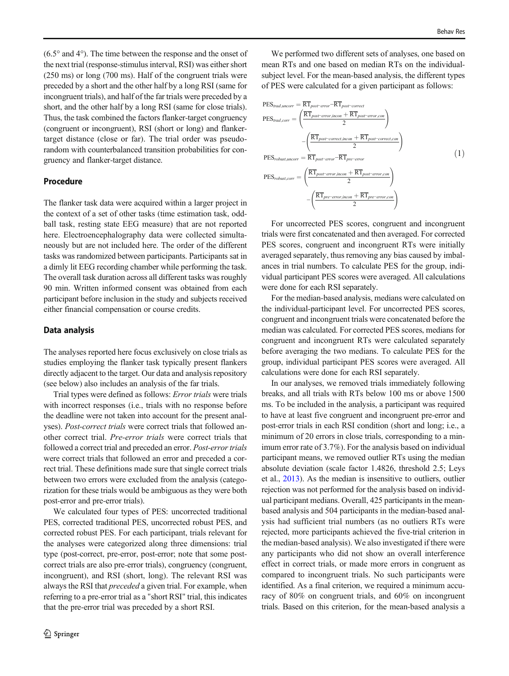(6.5° and 4°). The time between the response and the onset of the next trial (response-stimulus interval, RSI) was either short (250 ms) or long (700 ms). Half of the congruent trials were preceded by a short and the other half by a long RSI (same for incongruent trials), and half of the far trials were preceded by a short, and the other half by a long RSI (same for close trials). Thus, the task combined the factors flanker-target congruency (congruent or incongruent), RSI (short or long) and flankertarget distance (close or far). The trial order was pseudorandom with counterbalanced transition probabilities for congruency and flanker-target distance.

## Procedure

The flanker task data were acquired within a larger project in the context of a set of other tasks (time estimation task, oddball task, resting state EEG measure) that are not reported here. Electroencephalography data were collected simultaneously but are not included here. The order of the different tasks was randomized between participants. Participants sat in a dimly lit EEG recording chamber while performing the task. The overall task duration across all different tasks was roughly 90 min. Written informed consent was obtained from each participant before inclusion in the study and subjects received either financial compensation or course credits.

#### Data analysis

The analyses reported here focus exclusively on close trials as studies employing the flanker task typically present flankers directly adjacent to the target. Our data and analysis repository (see below) also includes an analysis of the far trials.

Trial types were defined as follows: Error trials were trials with incorrect responses (i.e., trials with no response before the deadline were not taken into account for the present analyses). Post-correct trials were correct trials that followed another correct trial. Pre-error trials were correct trials that followed a correct trial and preceded an error. Post-error trials were correct trials that followed an error and preceded a correct trial. These definitions made sure that single correct trials between two errors were excluded from the analysis (categorization for these trials would be ambiguous as they were both post-error and pre-error trials).

We calculated four types of PES: uncorrected traditional PES, corrected traditional PES, uncorrected robust PES, and corrected robust PES. For each participant, trials relevant for the analyses were categorized along three dimensions: trial type (post-correct, pre-error, post-error; note that some postcorrect trials are also pre-error trials), congruency (congruent, incongruent), and RSI (short, long). The relevant RSI was always the RSI that preceded a given trial. For example, when referring to a pre-error trial as a "short RSI" trial, this indicates that the pre-error trial was preceded by a short RSI.

We performed two different sets of analyses, one based on mean RTs and one based on median RTs on the individualsubject level. For the mean-based analysis, the different types of PES were calculated for a given participant as follows:

$$
PES_{trad,uncorr} = \overline{RT}_{post-error} - \overline{RT}_{post-correct}
$$
  
\n
$$
PES_{trad,corr} = \left(\frac{\overline{RT}_{post-error,incon} + \overline{RT}_{post-error,con}}{2}\right)
$$
  
\n
$$
-\left(\frac{\overline{RT}_{post-correct,incon} + \overline{RT}_{post-correct,con}}{2}\right)
$$
  
\n
$$
PES_{robust,uncorr} = \overline{RT}_{post-error} - \overline{RT}_{pre-error}
$$
  
\n
$$
PES_{robust,corr} = \left(\frac{\overline{RT}_{post-error,incon} + \overline{RT}_{post-error,con}}{2}\right)
$$
  
\n
$$
-\left(\frac{\overline{RT}_{pre-error,incon} + \overline{RT}_{pre-error,con}}{2}\right)
$$

For uncorrected PES scores, congruent and incongruent trials were first concatenated and then averaged. For corrected PES scores, congruent and incongruent RTs were initially averaged separately, thus removing any bias caused by imbalances in trial numbers. To calculate PES for the group, individual participant PES scores were averaged. All calculations were done for each RSI separately.

For the median-based analysis, medians were calculated on the individual-participant level. For uncorrected PES scores, congruent and incongruent trials were concatenated before the median was calculated. For corrected PES scores, medians for congruent and incongruent RTs were calculated separately before averaging the two medians. To calculate PES for the group, individual participant PES scores were averaged. All calculations were done for each RSI separately.

In our analyses, we removed trials immediately following breaks, and all trials with RTs below 100 ms or above 1500 ms. To be included in the analysis, a participant was required to have at least five congruent and incongruent pre-error and post-error trials in each RSI condition (short and long; i.e., a minimum of 20 errors in close trials, corresponding to a minimum error rate of 3.7%). For the analysis based on individual participant means, we removed outlier RTs using the median absolute deviation (scale factor 1.4826, threshold 2.5; Leys et al., [2013\)](#page-10-0). As the median is insensitive to outliers, outlier rejection was not performed for the analysis based on individual participant medians. Overall, 425 participants in the meanbased analysis and 504 participants in the median-based analysis had sufficient trial numbers (as no outliers RTs were rejected, more participants achieved the five-trial criterion in the median-based analysis). We also investigated if there were any participants who did not show an overall interference effect in correct trials, or made more errors in congruent as compared to incongruent trials. No such participants were identified. As a final criterion, we required a minimum accuracy of 80% on congruent trials, and 60% on incongruent trials. Based on this criterion, for the mean-based analysis a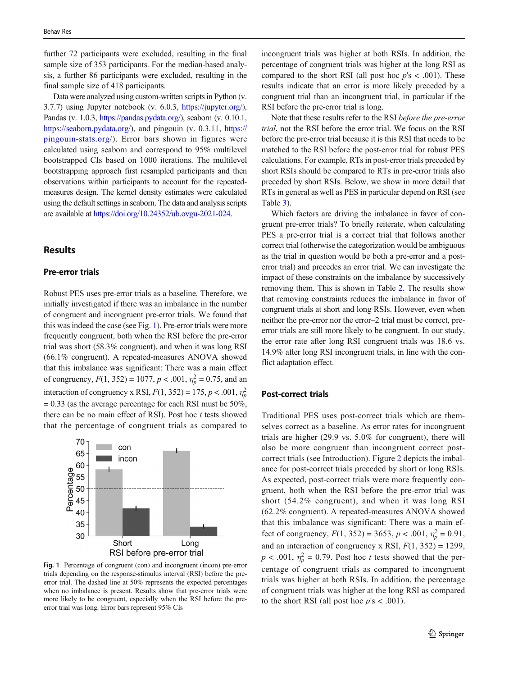<span id="page-4-0"></span>further 72 participants were excluded, resulting in the final sample size of 353 participants. For the median-based analysis, a further 86 participants were excluded, resulting in the final sample size of 418 participants.

Data were analyzed using custom-written scripts in Python (v. 3.7.7) using Jupyter notebook (v. 6.0.3, [https://jupyter.org/\)](https://jupyter.org/), Pandas (v. 1.0.3, <https://pandas.pydata.org/>), seaborn (v. 0.10.1, [https://seaborn.pydata.org/\)](https://seaborn.pydata.org/), and pingouin (v. 0.3.11, [https://](https://pingouin-stats.org/) [pingouin-stats.org/](https://pingouin-stats.org/)). Error bars shown in figures were calculated using seaborn and correspond to 95% multilevel bootstrapped CIs based on 1000 iterations. The multilevel bootstrapping approach first resampled participants and then observations within participants to account for the repeatedmeasures design. The kernel density estimates were calculated using the default settings in seaborn. The data and analysis scripts are available at [https://doi.org/10.24352/ub.ovgu-2021-024.](https://doi.org/10.24352/ub.ovgu-2021-024)

## Results

#### Pre-error trials

Robust PES uses pre-error trials as a baseline. Therefore, we initially investigated if there was an imbalance in the number of congruent and incongruent pre-error trials. We found that this was indeed the case (see Fig. 1). Pre-error trials were more frequently congruent, both when the RSI before the pre-error trial was short (58.3% congruent), and when it was long RSI (66.1% congruent). A repeated-measures ANOVA showed that this imbalance was significant: There was a main effect of congruency,  $F(1, 352) = 1077$ ,  $p < .001$ ,  $\eta_p^2 = 0.75$ , and an interaction of congruency x RSI,  $F(1, 352) = 175$ ,  $p < .001$ ,  $\eta_p^2$  $= 0.33$  (as the average percentage for each RSI must be 50%, there can be no main effect of RSI). Post hoc  $t$  tests showed that the percentage of congruent trials as compared to



Fig. 1 Percentage of congruent (con) and incongruent (incon) pre-error trials depending on the response-stimulus interval (RSI) before the preerror trial. The dashed line at 50% represents the expected percentages when no imbalance is present. Results show that pre-error trials were more likely to be congruent, especially when the RSI before the preerror trial was long. Error bars represent 95% CIs

incongruent trials was higher at both RSIs. In addition, the percentage of congruent trials was higher at the long RSI as compared to the short RSI (all post hoc  $p's < .001$ ). These results indicate that an error is more likely preceded by a congruent trial than an incongruent trial, in particular if the RSI before the pre-error trial is long.

Note that these results refer to the RSI before the pre-error trial, not the RSI before the error trial. We focus on the RSI before the pre-error trial because it is this RSI that needs to be matched to the RSI before the post-error trial for robust PES calculations. For example, RTs in post-error trials preceded by short RSIs should be compared to RTs in pre-error trials also preceded by short RSIs. Below, we show in more detail that RTs in general as well as PES in particular depend on RSI (see Table [3\)](#page-6-0).

Which factors are driving the imbalance in favor of congruent pre-error trials? To briefly reiterate, when calculating PES a pre-error trial is a correct trial that follows another correct trial (otherwise the categorization would be ambiguous as the trial in question would be both a pre-error and a posterror trial) and precedes an error trial. We can investigate the impact of these constraints on the imbalance by successively removing them. This is shown in Table [2](#page-5-0). The results show that removing constraints reduces the imbalance in favor of congruent trials at short and long RSIs. However, even when neither the pre-error nor the error–2 trial must be correct, preerror trials are still more likely to be congruent. In our study, the error rate after long RSI congruent trials was 18.6 vs. 14.9% after long RSI incongruent trials, in line with the conflict adaptation effect.

#### Post-correct trials

Traditional PES uses post-correct trials which are themselves correct as a baseline. As error rates for incongruent trials are higher (29.9 vs. 5.0% for congruent), there will also be more congruent than incongruent correct postcorrect trials (see Introduction). Figure [2](#page-5-0) depicts the imbalance for post-correct trials preceded by short or long RSIs. As expected, post-correct trials were more frequently congruent, both when the RSI before the pre-error trial was short (54.2% congruent), and when it was long RSI (62.2% congruent). A repeated-measures ANOVA showed that this imbalance was significant: There was a main effect of congruency,  $F(1, 352) = 3653$ ,  $p < .001$ ,  $\eta_p^2 = 0.91$ , and an interaction of congruency x RSI,  $F(1, 352) = 1299$ ,  $p < .001$ ,  $\eta_p^2 = 0.79$ . Post hoc t tests showed that the percentage of congruent trials as compared to incongruent trials was higher at both RSIs. In addition, the percentage of congruent trials was higher at the long RSI as compared to the short RSI (all post hoc  $p's < .001$ ).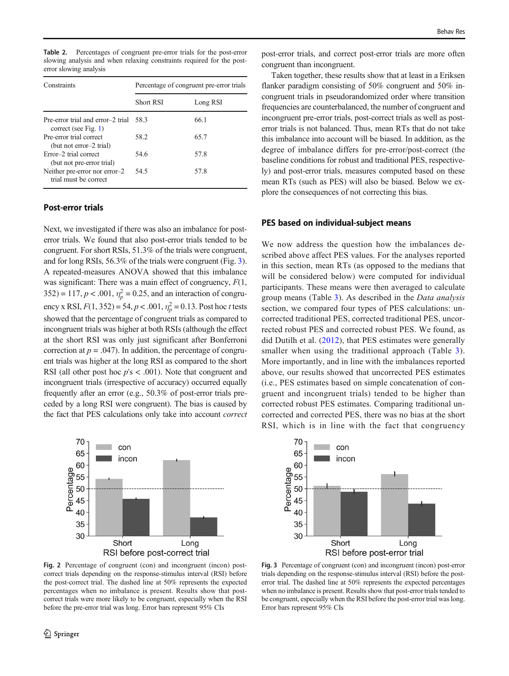<span id="page-5-0"></span>Table 2. Percentages of congruent pre-error trials for the post-error slowing analysis and when relaxing constraints required for the posterror slowing analysis

| Constraints                                                    | Percentage of congruent pre-error trials |          |  |  |
|----------------------------------------------------------------|------------------------------------------|----------|--|--|
|                                                                | Short RSI                                | Long RSI |  |  |
| Pre-error trial and error-2 trial 58.3<br>correct (see Fig. 1) |                                          | 66.1     |  |  |
| Pre-error trial correct<br>(but not error-2 trial)             | 58.2                                     | 65.7     |  |  |
| Error-2 trial correct<br>(but not pre-error trial)             | 54.6                                     | 57.8     |  |  |
| Neither pre-error nor error-2<br>trial must be correct         | 54.5                                     | 57.8     |  |  |

## Post-error trials

Next, we investigated if there was also an imbalance for posterror trials. We found that also post-error trials tended to be congruent. For short RSIs, 51.3% of the trials were congruent, and for long RSIs, 56.3% of the trials were congruent (Fig. 3). A repeated-measures ANOVA showed that this imbalance was significant: There was a main effect of congruency,  $F(1, \theta)$ 352) = 117,  $p < .001$ ,  $\eta_p^2 = 0.25$ , and an interaction of congruency x RSI,  $F(1, 352) = 54$ ,  $p < .001$ ,  $\eta_p^2 = 0.13$ . Post hoc t tests showed that the percentage of congruent trials as compared to incongruent trials was higher at both RSIs (although the effect at the short RSI was only just significant after Bonferroni correction at  $p = .047$ ). In addition, the percentage of congruent trials was higher at the long RSI as compared to the short RSI (all other post hoc  $p$ 's < .001). Note that congruent and incongruent trials (irrespective of accuracy) occurred equally frequently after an error (e.g., 50.3% of post-error trials preceded by a long RSI were congruent). The bias is caused by the fact that PES calculations only take into account correct



Fig. 2 Percentage of congruent (con) and incongruent (incon) postcorrect trials depending on the response-stimulus interval (RSI) before the post-correct trial. The dashed line at 50% represents the expected percentages when no imbalance is present. Results show that postcorrect trials were more likely to be congruent, especially when the RSI before the pre-error trial was long. Error bars represent 95% CIs

post-error trials, and correct post-error trials are more often congruent than incongruent.

Taken together, these results show that at least in a Eriksen flanker paradigm consisting of 50% congruent and 50% incongruent trials in pseudorandomized order where transition frequencies are counterbalanced, the number of congruent and incongruent pre-error trials, post-correct trials as well as posterror trials is not balanced. Thus, mean RTs that do not take this imbalance into account will be biased. In addition, as the degree of imbalance differs for pre-error/post-correct (the baseline conditions for robust and traditional PES, respectively) and post-error trials, measures computed based on these mean RTs (such as PES) will also be biased. Below we explore the consequences of not correcting this bias.

#### PES based on individual-subject means

We now address the question how the imbalances described above affect PES values. For the analyses reported in this section, mean RTs (as opposed to the medians that will be considered below) were computed for individual participants. These means were then averaged to calculate group means (Table [3](#page-6-0)). As described in the Data analysis section, we compared four types of PES calculations: uncorrected traditional PES, corrected traditional PES, uncorrected robust PES and corrected robust PES. We found, as did Dutilh et al. ([2012](#page-10-0)), that PES estimates were generally smaller when using the traditional approach (Table [3](#page-6-0)). More importantly, and in line with the imbalances reported above, our results showed that uncorrected PES estimates (i.e., PES estimates based on simple concatenation of congruent and incongruent trials) tended to be higher than corrected robust PES estimates. Comparing traditional uncorrected and corrected PES, there was no bias at the short RSI, which is in line with the fact that congruency



Fig. 3 Percentage of congruent (con) and incongruent (incon) post-error trials depending on the response-stimulus interval (RSI) before the posterror trial. The dashed line at 50% represents the expected percentages when no imbalance is present. Results show that post-error trials tended to be congruent, especially when the RSI before the post-error trial was long. Error bars represent 95% CIs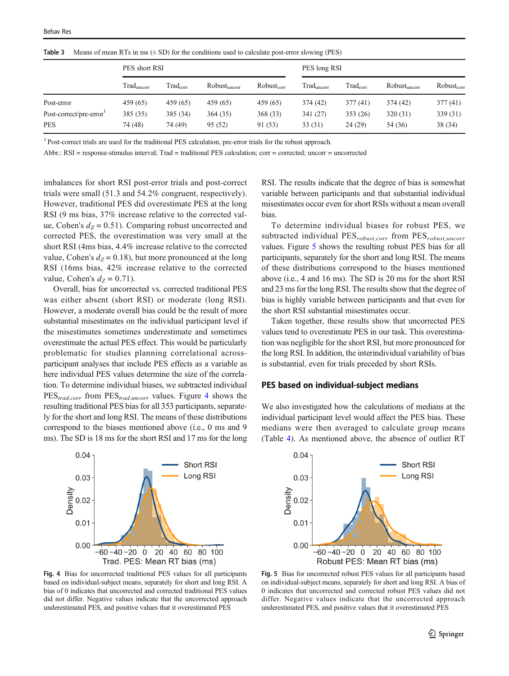|                        | PES short RSI                 |                             |                   |                 | PES long RSI                  |                             |                   |                     |  |
|------------------------|-------------------------------|-----------------------------|-------------------|-----------------|-------------------------------|-----------------------------|-------------------|---------------------|--|
|                        | $\text{Trad}_{\text{uncorr}}$ | $\text{Trad}_{\text{corr}}$ | $Robust_{uncorr}$ | $Robust_{corr}$ | $\text{Trad}_{\text{uncorr}}$ | $\text{Trad}_{\text{corr}}$ | $Robust_{uncorr}$ | $Robust_{\rm corr}$ |  |
| Post-error             | 459 (65)                      | 459 (65)                    | 459 (65)          | 459 (65)        | 374 (42)                      | 377(41)                     | 374 (42)          | 377(41)             |  |
| Post-correct/pre-error | 385 (35)                      | 385 (34)                    | 364 (35)          | 368 (33)        | 341 (27)                      | 353 (26)                    | 320(31)           | 339 (31)            |  |
| <b>PES</b>             | 74 (48)                       | 74 (49)                     | 95(52)            | 91(53)          | 33(31)                        | 24 (29)                     | 54 (36)           | 38(34)              |  |

<span id="page-6-0"></span>**Table 3** Means of mean RTs in ms  $(\pm SD)$  for the conditions used to calculate post-error slowing (PES)

<sup>1</sup> Post-correct trials are used for the traditional PES calculation, pre-error trials for the robust approach.

Abbr.: RSI = response-stimulus interval; Trad = traditional PES calculation; corr = corrected; uncorr = uncorrected

imbalances for short RSI post-error trials and post-correct trials were small (51.3 and 54.2% congruent, respectively). However, traditional PES did overestimate PES at the long RSI (9 ms bias, 37% increase relative to the corrected value, Cohen's  $d_7 = 0.51$ . Comparing robust uncorrected and corrected PES, the overestimation was very small at the short RSI (4ms bias, 4.4% increase relative to the corrected value, Cohen's  $d_Z$  = 0.18), but more pronounced at the long RSI (16ms bias, 42% increase relative to the corrected value, Cohen's  $d_Z = 0.71$ ).

Overall, bias for uncorrected vs. corrected traditional PES was either absent (short RSI) or moderate (long RSI). However, a moderate overall bias could be the result of more substantial misestimates on the individual participant level if the misestimates sometimes underestimate and sometimes overestimate the actual PES effect. This would be particularly problematic for studies planning correlational acrossparticipant analyses that include PES effects as a variable as here individual PES values determine the size of the correlation. To determine individual biases, we subtracted individual  $PES_{trad,corr}$  from  $PES_{trad,uncorr}$  values. Figure 4 shows the resulting traditional PES bias for all 353 participants, separately for the short and long RSI. The means of these distributions correspond to the biases mentioned above (i.e., 0 ms and 9 ms). The SD is 18 ms for the short RSI and 17 ms for the long



Fig. 4 Bias for uncorrected traditional PES values for all participants based on individual-subject means, separately for short and long RSI. A bias of 0 indicates that uncorrected and corrected traditional PES values did not differ. Negative values indicate that the uncorrected approach underestimated PES, and positive values that it overestimated PES

RSI. The results indicate that the degree of bias is somewhat variable between participants and that substantial individual misestimates occur even for short RSIs without a mean overall bias.

To determine individual biases for robust PES, we subtracted individual PES<sub>robust,corr</sub> from PES<sub>robust,uncorr</sub> values. Figure 5 shows the resulting robust PES bias for all participants, separately for the short and long RSI. The means of these distributions correspond to the biases mentioned above (i.e., 4 and 16 ms). The SD is 20 ms for the short RSI and 23 ms for the long RSI. The results show that the degree of bias is highly variable between participants and that even for the short RSI substantial misestimates occur.

Taken together, these results show that uncorrected PES values tend to overestimate PES in our task. This overestimation was negligible for the short RSI, but more pronounced for the long RSI. In addition, the interindividual variability of bias is substantial, even for trials preceded by short RSIs.

#### PES based on individual-subject medians

We also investigated how the calculations of medians at the individual participant level would affect the PES bias. These medians were then averaged to calculate group means (Table [4](#page-7-0)). As mentioned above, the absence of outlier RT



Fig. 5 Bias for uncorrected robust PES values for all participants based on individual-subject means, separately for short and long RSI. A bias of 0 indicates that uncorrected and corrected robust PES values did not differ. Negative values indicate that the uncorrected approach underestimated PES, and positive values that it overestimated PES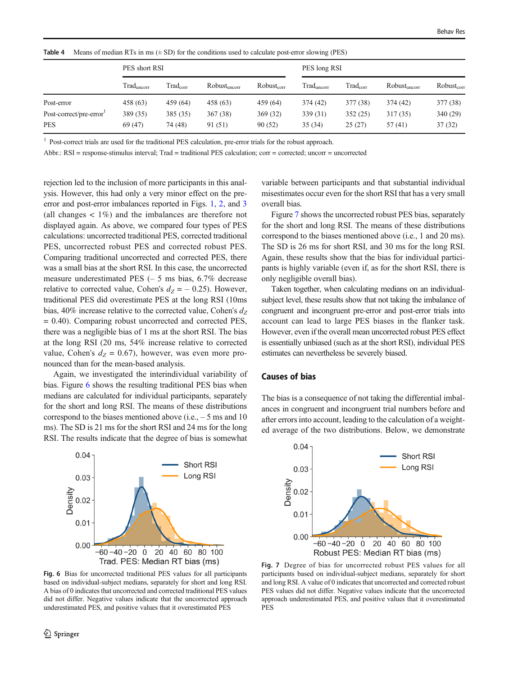|                        |                 |                             |                   |                 | <u>.</u>                      |                             |                   |                    |  |
|------------------------|-----------------|-----------------------------|-------------------|-----------------|-------------------------------|-----------------------------|-------------------|--------------------|--|
|                        | PES short RSI   |                             |                   |                 | PES long RSI                  |                             |                   |                    |  |
|                        | $Trad_{uncorr}$ | $\text{Trad}_{\text{corr}}$ | $Robust_{uncorr}$ | $Robust_{corr}$ | $\text{Trad}_{\text{uncorr}}$ | $\text{Trad}_{\text{corr}}$ | $Robust_{uncorr}$ | $Robust_{\rm cor}$ |  |
| Post-error             | 458 (63)        | 459 (64)                    | 458 (63)          | 459 (64)        | 374 (42)                      | 377 (38)                    | 374 (42)          | 377 (38)           |  |
| Post-correct/pre-error | 389 (35)        | 385 (35)                    | 367(38)           | 369(32)         | 339 (31)                      | 352(25)                     | 317(35)           | 340 (29)           |  |
| <b>PES</b>             | 69 (47)         | 74 (48)                     | 91 (51)           | 90(52)          | 35(34)                        | 25(27)                      | 57(41)            | 37(32)             |  |

<span id="page-7-0"></span>**Table 4** Means of median RTs in ms  $(\pm SD)$  for the conditions used to calculate post-error slowing (PES)

<sup>1</sup> Post-correct trials are used for the traditional PES calculation, pre-error trials for the robust approach.

Abbr.: RSI = response-stimulus interval; Trad = traditional PES calculation; corr = corrected; uncorr = uncorrected

rejection led to the inclusion of more participants in this analysis. However, this had only a very minor effect on the preerror and post-error imbalances reported in Figs. [1,](#page-4-0) [2](#page-5-0), and [3](#page-5-0) (all changes  $\langle 1\% \rangle$  and the imbalances are therefore not displayed again. As above, we compared four types of PES calculations: uncorrected traditional PES, corrected traditional PES, uncorrected robust PES and corrected robust PES. Comparing traditional uncorrected and corrected PES, there was a small bias at the short RSI. In this case, the uncorrected measure underestimated PES (– 5 ms bias, 6.7% decrease relative to corrected value, Cohen's  $d_Z = -0.25$ ). However, traditional PES did overestimate PES at the long RSI (10ms bias, 40% increase relative to the corrected value, Cohen's  $d<sub>z</sub>$ = 0.40). Comparing robust uncorrected and corrected PES, there was a negligible bias of 1 ms at the short RSI. The bias at the long RSI (20 ms, 54% increase relative to corrected value, Cohen's  $d_Z = 0.67$ ), however, was even more pronounced than for the mean-based analysis.

Again, we investigated the interindividual variability of bias. Figure 6 shows the resulting traditional PES bias when medians are calculated for individual participants, separately for the short and long RSI. The means of these distributions correspond to the biases mentioned above (i.e., – 5 ms and 10 ms). The SD is 21 ms for the short RSI and 24 ms for the long RSI. The results indicate that the degree of bias is somewhat



Fig. 6 Bias for uncorrected traditional PES values for all participants based on individual-subject medians, separately for short and long RSI. A bias of 0 indicates that uncorrected and corrected traditional PES values did not differ. Negative values indicate that the uncorrected approach underestimated PES, and positive values that it overestimated PES

variable between participants and that substantial individual misestimates occur even for the short RSI that has a very small overall bias.

Figure 7 shows the uncorrected robust PES bias, separately for the short and long RSI. The means of these distributions correspond to the biases mentioned above (i.e., 1 and 20 ms). The SD is 26 ms for short RSI, and 30 ms for the long RSI. Again, these results show that the bias for individual participants is highly variable (even if, as for the short RSI, there is only negligible overall bias).

Taken together, when calculating medians on an individualsubject level, these results show that not taking the imbalance of congruent and incongruent pre-error and post-error trials into account can lead to large PES biases in the flanker task. However, even if the overall mean uncorrected robust PES effect is essentially unbiased (such as at the short RSI), individual PES estimates can nevertheless be severely biased.

#### Causes of bias

The bias is a consequence of not taking the differential imbalances in congruent and incongruent trial numbers before and after errors into account, leading to the calculation of a weighted average of the two distributions. Below, we demonstrate



Fig. 7 Degree of bias for uncorrected robust PES values for all participants based on individual-subject medians, separately for short and long RSI. A value of 0 indicates that uncorrected and corrected robust PES values did not differ. Negative values indicate that the uncorrected approach underestimated PES, and positive values that it overestimated PES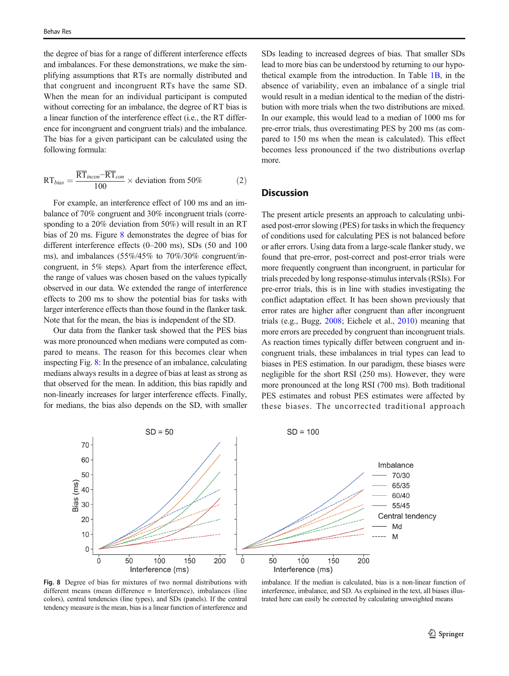<span id="page-8-0"></span>the degree of bias for a range of different interference effects and imbalances. For these demonstrations, we make the simplifying assumptions that RTs are normally distributed and that congruent and incongruent RTs have the same SD. When the mean for an individual participant is computed without correcting for an imbalance, the degree of RT bias is a linear function of the interference effect (i.e., the RT difference for incongruent and congruent trials) and the imbalance. The bias for a given participant can be calculated using the following formula:

$$
RT_{bias} = \frac{\overline{RT}_{incon} - \overline{RT}_{con}}{100} \times deviation from 50\% \tag{2}
$$

For example, an interference effect of 100 ms and an imbalance of 70% congruent and 30% incongruent trials (corresponding to a 20% deviation from 50%) will result in an RT bias of 20 ms. Figure 8 demonstrates the degree of bias for different interference effects (0–200 ms), SDs (50 and 100 ms), and imbalances (55%/45% to 70%/30% congruent/incongruent, in 5% steps). Apart from the interference effect, the range of values was chosen based on the values typically observed in our data. We extended the range of interference effects to 200 ms to show the potential bias for tasks with larger interference effects than those found in the flanker task. Note that for the mean, the bias is independent of the SD.

Our data from the flanker task showed that the PES bias was more pronounced when medians were computed as compared to means. The reason for this becomes clear when inspecting Fig. 8: In the presence of an imbalance, calculating medians always results in a degree of bias at least as strong as that observed for the mean. In addition, this bias rapidly and non-linearly increases for larger interference effects. Finally, for medians, the bias also depends on the SD, with smaller SDs leading to increased degrees of bias. That smaller SDs lead to more bias can be understood by returning to our hypothetical example from the introduction. In Table [1B,](#page-2-0) in the absence of variability, even an imbalance of a single trial would result in a median identical to the median of the distribution with more trials when the two distributions are mixed. In our example, this would lead to a median of 1000 ms for pre-error trials, thus overestimating PES by 200 ms (as compared to 150 ms when the mean is calculated). This effect becomes less pronounced if the two distributions overlap more.

# **Discussion**

The present article presents an approach to calculating unbiased post-error slowing (PES) for tasks in which the frequency of conditions used for calculating PES is not balanced before or after errors. Using data from a large-scale flanker study, we found that pre-error, post-correct and post-error trials were more frequently congruent than incongruent, in particular for trials preceded by long response-stimulus intervals (RSIs). For pre-error trials, this is in line with studies investigating the conflict adaptation effect. It has been shown previously that error rates are higher after congruent than after incongruent trials (e.g., Bugg, [2008;](#page-10-0) Eichele et al., [2010](#page-10-0)) meaning that more errors are preceded by congruent than incongruent trials. As reaction times typically differ between congruent and incongruent trials, these imbalances in trial types can lead to biases in PES estimation. In our paradigm, these biases were negligible for the short RSI (250 ms). However, they were more pronounced at the long RSI (700 ms). Both traditional PES estimates and robust PES estimates were affected by these biases. The uncorrected traditional approach



Fig. 8 Degree of bias for mixtures of two normal distributions with different means (mean difference = Interference), imbalances (line colors), central tendencies (line types), and SDs (panels). If the central tendency measure is the mean, bias is a linear function of interference and

imbalance. If the median is calculated, bias is a non-linear function of interference, imbalance, and SD. As explained in the text, all biases illustrated here can easily be corrected by calculating unweighted means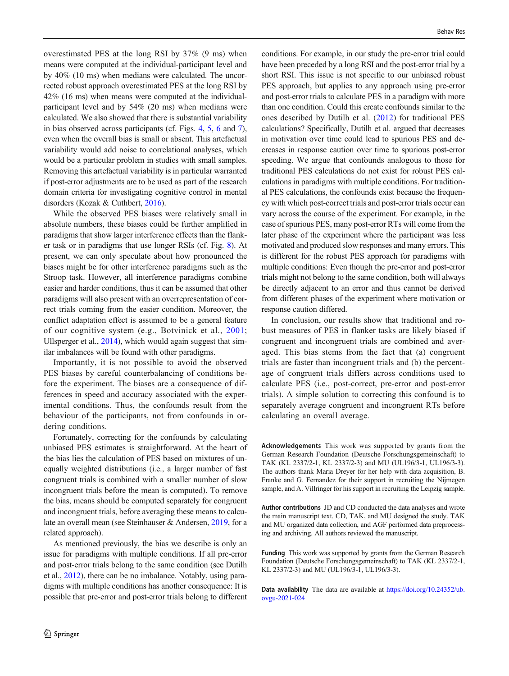overestimated PES at the long RSI by 37% (9 ms) when means were computed at the individual-participant level and by 40% (10 ms) when medians were calculated. The uncorrected robust approach overestimated PES at the long RSI by 42% (16 ms) when means were computed at the individualparticipant level and by 54% (20 ms) when medians were calculated. We also showed that there is substantial variability in bias observed across participants (cf. Figs. [4](#page-6-0), [5,](#page-6-0) [6](#page-7-0) and [7\)](#page-7-0), even when the overall bias is small or absent. This artefactual variability would add noise to correlational analyses, which would be a particular problem in studies with small samples. Removing this artefactual variability is in particular warranted if post-error adjustments are to be used as part of the research domain criteria for investigating cognitive control in mental disorders (Kozak & Cuthbert, [2016\)](#page-10-0).

While the observed PES biases were relatively small in absolute numbers, these biases could be further amplified in paradigms that show larger interference effects than the flanker task or in paradigms that use longer RSIs (cf. Fig. [8](#page-8-0)). At present, we can only speculate about how pronounced the biases might be for other interference paradigms such as the Stroop task. However, all interference paradigms combine easier and harder conditions, thus it can be assumed that other paradigms will also present with an overrepresentation of correct trials coming from the easier condition. Moreover, the conflict adaptation effect is assumed to be a general feature of our cognitive system (e.g., Botvinick et al., [2001](#page-10-0); Ullsperger et al., [2014\)](#page-11-0), which would again suggest that similar imbalances will be found with other paradigms.

Importantly, it is not possible to avoid the observed PES biases by careful counterbalancing of conditions before the experiment. The biases are a consequence of differences in speed and accuracy associated with the experimental conditions. Thus, the confounds result from the behaviour of the participants, not from confounds in ordering conditions.

Fortunately, correcting for the confounds by calculating unbiased PES estimates is straightforward. At the heart of the bias lies the calculation of PES based on mixtures of unequally weighted distributions (i.e., a larger number of fast congruent trials is combined with a smaller number of slow incongruent trials before the mean is computed). To remove the bias, means should be computed separately for congruent and incongruent trials, before averaging these means to calculate an overall mean (see Steinhauser & Andersen, [2019,](#page-11-0) for a related approach).

As mentioned previously, the bias we describe is only an issue for paradigms with multiple conditions. If all pre-error and post-error trials belong to the same condition (see Dutilh et al., [2012](#page-10-0)), there can be no imbalance. Notably, using paradigms with multiple conditions has another consequence: It is possible that pre-error and post-error trials belong to different conditions. For example, in our study the pre-error trial could have been preceded by a long RSI and the post-error trial by a short RSI. This issue is not specific to our unbiased robust PES approach, but applies to any approach using pre-error and post-error trials to calculate PES in a paradigm with more than one condition. Could this create confounds similar to the ones described by Dutilh et al. [\(2012](#page-10-0)) for traditional PES calculations? Specifically, Dutilh et al. argued that decreases in motivation over time could lead to spurious PES and decreases in response caution over time to spurious post-error speeding. We argue that confounds analogous to those for traditional PES calculations do not exist for robust PES calculations in paradigms with multiple conditions. For traditional PES calculations, the confounds exist because the frequency with which post-correct trials and post-error trials occur can vary across the course of the experiment. For example, in the case of spurious PES, many post-error RTs will come from the later phase of the experiment where the participant was less motivated and produced slow responses and many errors. This is different for the robust PES approach for paradigms with multiple conditions: Even though the pre-error and post-error trials might not belong to the same condition, both will always be directly adjacent to an error and thus cannot be derived from different phases of the experiment where motivation or response caution differed.

In conclusion, our results show that traditional and robust measures of PES in flanker tasks are likely biased if congruent and incongruent trials are combined and averaged. This bias stems from the fact that (a) congruent trials are faster than incongruent trials and (b) the percentage of congruent trials differs across conditions used to calculate PES (i.e., post-correct, pre-error and post-error trials). A simple solution to correcting this confound is to separately average congruent and incongruent RTs before calculating an overall average.

Acknowledgements This work was supported by grants from the German Research Foundation (Deutsche Forschungsgemeinschaft) to TAK (KL 2337/2-1, KL 2337/2-3) and MU (UL196/3-1, UL196/3-3). The authors thank Maria Dreyer for her help with data acquisition, B. Franke and G. Fernandez for their support in recruiting the Nijmegen sample, and A. Villringer for his support in recruiting the Leipzig sample.

Author contributions JD and CD conducted the data analyses and wrote the main manuscript text. CD, TAK, and MU designed the study. TAK and MU organized data collection, and AGF performed data preprocessing and archiving. All authors reviewed the manuscript.

Funding This work was supported by grants from the German Research Foundation (Deutsche Forschungsgemeinschaft) to TAK (KL 2337/2-1, KL 2337/2-3) and MU (UL196/3-1, UL196/3-3).

Data availability The data are available at [https://doi.org/10.24352/ub.](https://doi.org/10.24352/ub.ovgu-2021-024) [ovgu-2021-024](https://doi.org/10.24352/ub.ovgu-2021-024)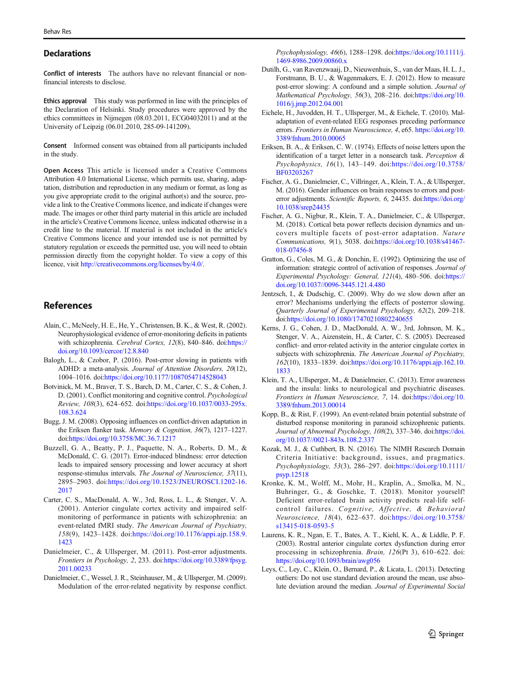#### <span id="page-10-0"></span>**Declarations**

Conflict of interests The authors have no relevant financial or nonfinancial interests to disclose.

Ethics approval This study was performed in line with the principles of the Declaration of Helsinki. Study procedures were approved by the ethics committees in Nijmegen (08.03.2011, ECG04032011) and at the University of Leipzig (06.01.2010, 285-09-141209).

Consent Informed consent was obtained from all participants included in the study.

Open Access This article is licensed under a Creative Commons Attribution 4.0 International License, which permits use, sharing, adaptation, distribution and reproduction in any medium or format, as long as you give appropriate credit to the original author(s) and the source, provide a link to the Creative Commons licence, and indicate if changes were made. The images or other third party material in this article are included in the article's Creative Commons licence, unless indicated otherwise in a credit line to the material. If material is not included in the article's Creative Commons licence and your intended use is not permitted by statutory regulation or exceeds the permitted use, you will need to obtain permission directly from the copyright holder. To view a copy of this licence, visit <http://creativecommons.org/licenses/by/4.0/>.

# References

- Alain, C., McNeely, H. E., He, Y., Christensen, B. K., & West, R. (2002). Neurophysiological evidence of error-monitoring deficits in patients with schizophrenia. Cerebral Cortex, 12(8), 840–846. doi:[https://](https://doi.org/10.1093/cercor/12.8.840) [doi.org/10.1093/cercor/12.8.840](https://doi.org/10.1093/cercor/12.8.840)
- Balogh, L., & Czobor, P. (2016). Post-error slowing in patients with ADHD: a meta-analysis. Journal of Attention Disorders, 20(12), 1004–1016. doi[:https://doi.org/10.1177/1087054714528043](https://doi.org/10.1177/1087054714528043)
- Botvinick, M. M., Braver, T. S., Barch, D. M., Carter, C. S., & Cohen, J. D. (2001). Conflict monitoring and cognitive control. Psychological Review, 108(3), 624–652. doi[:https://doi.org/10.1037/0033-295x.](https://doi.org/10.1037/0033-295x.108.3.624) [108.3.624](https://doi.org/10.1037/0033-295x.108.3.624)
- Bugg, J. M. (2008). Opposing influences on conflict-driven adaptation in the Eriksen flanker task. Memory & Cognition, 36(7), 1217–1227. doi:<https://doi.org/10.3758/MC.36.7.1217>
- Buzzell, G. A., Beatty, P. J., Paquette, N. A., Roberts, D. M., & McDonald, C. G. (2017). Error-induced blindness: error detection leads to impaired sensory processing and lower accuracy at short response-stimulus intervals. The Journal of Neuroscience, 37(11), 2895–2903. doi[:https://doi.org/10.1523/JNEUROSCI.1202-16.](https://doi.org/10.1523/JNEUROSCI.1202-16.2017) [2017](https://doi.org/10.1523/JNEUROSCI.1202-16.2017)
- Carter, C. S., MacDonald, A. W., 3rd, Ross, L. L., & Stenger, V. A. (2001). Anterior cingulate cortex activity and impaired selfmonitoring of performance in patients with schizophrenia: an event-related fMRI study. The American Journal of Psychiatry, 158(9), 1423–1428. doi:[https://doi.org/10.1176/appi.ajp.158.9.](https://doi.org/10.1176/appi.ajp.158.9.1423) [1423](https://doi.org/10.1176/appi.ajp.158.9.1423)
- Danielmeier, C., & Ullsperger, M. (2011). Post-error adjustments. Frontiers in Psychology, 2, 233. doi:[https://doi.org/10.3389/fpsyg.](https://doi.org/10.3389/fpsyg.2011.00233) [2011.00233](https://doi.org/10.3389/fpsyg.2011.00233)
- Danielmeier, C., Wessel, J. R., Steinhauser, M., & Ullsperger, M. (2009). Modulation of the error-related negativity by response conflict.

Psychophysiology, 46(6), 1288–1298. doi[:https://doi.org/10.1111/j.](https://doi.org/10.1111/j.1469-8986.2009.00860.x) [1469-8986.2009.00860.x](https://doi.org/10.1111/j.1469-8986.2009.00860.x)

- Dutilh, G., van Ravenzwaaij, D., Nieuwenhuis, S., van der Maas, H. L. J., Forstmann, B. U., & Wagenmakers, E. J. (2012). How to measure post-error slowing: A confound and a simple solution. Journal of Mathematical Psychology, 56(3), 208-216. doi[:https://doi.org/10.](https://doi.org/10.1016/j.jmp.2012.04.001) [1016/j.jmp.2012.04.001](https://doi.org/10.1016/j.jmp.2012.04.001)
- Eichele, H., Juvodden, H. T., Ullsperger, M., & Eichele, T. (2010). Maladaptation of event-related EEG responses preceding performance errors. Frontiers in Human Neuroscience, 4, e65. [https://doi.org/10.](https://doi.org/10.3389/fnhum.2010.00065) [3389/fnhum.2010.00065](https://doi.org/10.3389/fnhum.2010.00065)
- Eriksen, B. A., & Eriksen, C. W. (1974). Effects of noise letters upon the identification of a target letter in a nonsearch task. Perception & Psychophysics, 16(1), 143–149. doi:[https://doi.org/10.3758/](https://doi.org/10.3758/BF03203267) [BF03203267](https://doi.org/10.3758/BF03203267)
- Fischer, A. G., Danielmeier, C., Villringer, A., Klein, T. A., & Ullsperger, M. (2016). Gender influences on brain responses to errors and post-error adjustments. Scientific Reports, 6, 24435. doi[:https://doi.org/](https://doi.org/10.1038/srep24435) [10.1038/srep24435](https://doi.org/10.1038/srep24435)
- Fischer, A. G., Nigbur, R., Klein, T. A., Danielmeier, C., & Ullsperger, M. (2018). Cortical beta power reflects decision dynamics and uncovers multiple facets of post-error adaptation. Nature Communications, 9(1), 5038. doi:[https://doi.org/10.1038/s41467-](https://doi.org/10.1038/s41467-018-07456-8) [018-07456-8](https://doi.org/10.1038/s41467-018-07456-8)
- Gratton, G., Coles, M. G., & Donchin, E. (1992). Optimizing the use of information: strategic control of activation of responses. Journal of Experimental Psychology: General, 121(4), 480–506. doi[:https://](https://doi.org/10.1037//0096-3445.121.4.480) [doi.org/10.1037//0096-3445.121.4.480](https://doi.org/10.1037//0096-3445.121.4.480)
- Jentzsch, I., & Dudschig, C. (2009). Why do we slow down after an error? Mechanisms underlying the effects of posterror slowing. Quarterly Journal of Experimental Psychology, 62(2), 209–218. doi:<https://doi.org/10.1080/17470210802240655>
- Kerns, J. G., Cohen, J. D., MacDonald, A. W., 3rd, Johnson, M. K., Stenger, V. A., Aizenstein, H., & Carter, C. S. (2005). Decreased conflict- and error-related activity in the anterior cingulate cortex in subjects with schizophrenia. The American Journal of Psychiatry, 162(10), 1833–1839. doi[:https://doi.org/10.1176/appi.ajp.162.10.](https://doi.org/10.1176/appi.ajp.162.10.1833) [1833](https://doi.org/10.1176/appi.ajp.162.10.1833)
- Klein, T. A., Ullsperger, M., & Danielmeier, C. (2013). Error awareness and the insula: links to neurological and psychiatric diseases. Frontiers in Human Neuroscience, 7, 14. doi:[https://doi.org/10.](https://doi.org/10.3389/fnhum.2013.00014) [3389/fnhum.2013.00014](https://doi.org/10.3389/fnhum.2013.00014)
- Kopp, B., & Rist, F. (1999). An event-related brain potential substrate of disturbed response monitoring in paranoid schizophrenic patients. Journal of Abnormal Psychology, 108(2), 337-346. doi[:https://doi.](https://doi.org/10.1037//0021-843x.108.2.337) [org/10.1037//0021-843x.108.2.337](https://doi.org/10.1037//0021-843x.108.2.337)
- Kozak, M. J., & Cuthbert, B. N. (2016). The NIMH Research Domain Criteria Initiative: background, issues, and pragmatics. Psychophysiology, 53(3), 286–297. doi[:https://doi.org/10.1111/](https://doi.org/10.1111/psyp.12518) [psyp.12518](https://doi.org/10.1111/psyp.12518)
- Kronke, K. M., Wolff, M., Mohr, H., Kraplin, A., Smolka, M. N., Buhringer, G., & Goschke, T. (2018). Monitor yourself! Deficient error-related brain activity predicts real-life selfcontrol failures. Cognitive, Affective, & Behavioral Neuroscience, 18(4), 622–637. doi:[https://doi.org/10.3758/](https://doi.org/10.3758/s13415-018-0593-5) [s13415-018-0593-5](https://doi.org/10.3758/s13415-018-0593-5)
- Laurens, K. R., Ngan, E. T., Bates, A. T., Kiehl, K. A., & Liddle, P. F. (2003). Rostral anterior cingulate cortex dysfunction during error processing in schizophrenia. Brain, 126(Pt 3), 610–622. doi: <https://doi.org/10.1093/brain/awg056>
- Leys, C., Ley, C., Klein, O., Bernard, P., & Licata, L. (2013). Detecting outliers: Do not use standard deviation around the mean, use absolute deviation around the median. Journal of Experimental Social